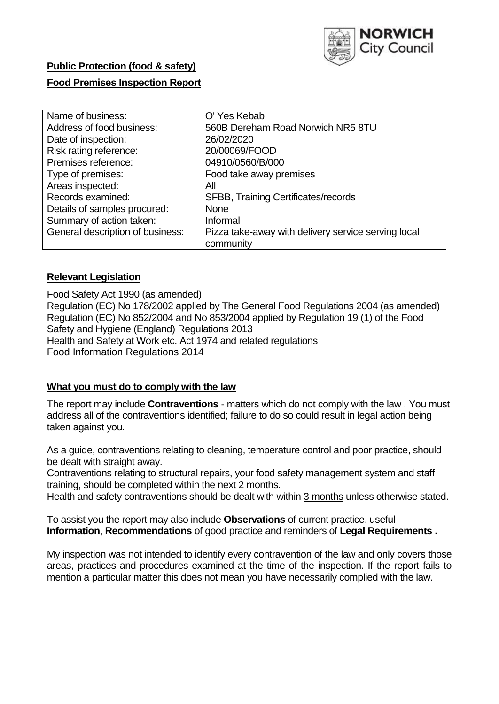

# **Public Protection (food & safety)**

## **Food Premises Inspection Report**

| Name of business:                | O'Yes Kebab                                         |
|----------------------------------|-----------------------------------------------------|
| Address of food business:        | 560B Dereham Road Norwich NR5 8TU                   |
| Date of inspection:              | 26/02/2020                                          |
| Risk rating reference:           | 20/00069/FOOD                                       |
| Premises reference:              | 04910/0560/B/000                                    |
| Type of premises:                | Food take away premises                             |
| Areas inspected:                 | Αll                                                 |
| Records examined:                | <b>SFBB, Training Certificates/records</b>          |
| Details of samples procured:     | <b>None</b>                                         |
| Summary of action taken:         | Informal                                            |
| General description of business: | Pizza take-away with delivery service serving local |
|                                  | community                                           |

#### **Relevant Legislation**

Food Safety Act 1990 (as amended) Regulation (EC) No 178/2002 applied by The General Food Regulations 2004 (as amended) Regulation (EC) No 852/2004 and No 853/2004 applied by Regulation 19 (1) of the Food Safety and Hygiene (England) Regulations 2013 Health and Safety at Work etc. Act 1974 and related regulations Food Information Regulations 2014

#### **What you must do to comply with the law**

The report may include **Contraventions** - matters which do not comply with the law . You must address all of the contraventions identified; failure to do so could result in legal action being taken against you.

As a guide, contraventions relating to cleaning, temperature control and poor practice, should be dealt with straight away.

Contraventions relating to structural repairs, your food safety management system and staff training, should be completed within the next 2 months.

Health and safety contraventions should be dealt with within 3 months unless otherwise stated.

To assist you the report may also include **Observations** of current practice, useful **Information**, **Recommendations** of good practice and reminders of **Legal Requirements .**

My inspection was not intended to identify every contravention of the law and only covers those areas, practices and procedures examined at the time of the inspection. If the report fails to mention a particular matter this does not mean you have necessarily complied with the law.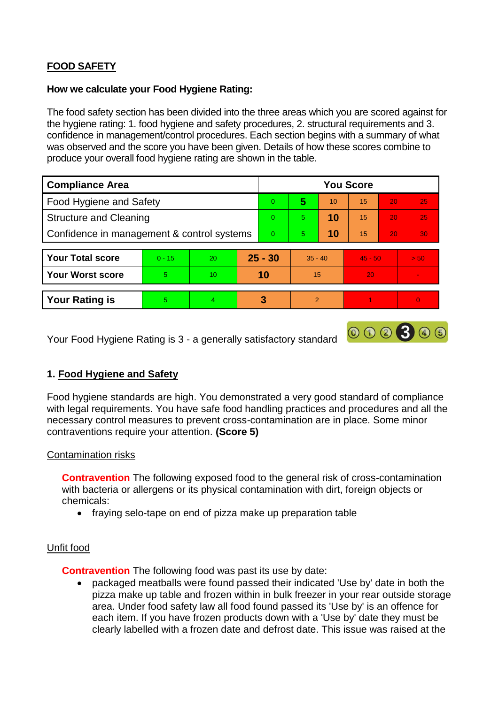## **FOOD SAFETY**

#### **How we calculate your Food Hygiene Rating:**

The food safety section has been divided into the three areas which you are scored against for the hygiene rating: 1. food hygiene and safety procedures, 2. structural requirements and 3. confidence in management/control procedures. Each section begins with a summary of what was observed and the score you have been given. Details of how these scores combine to produce your overall food hygiene rating are shown in the table.

| <b>Compliance Area</b>                     |          |    |           | <b>You Score</b> |                |    |           |    |      |  |  |
|--------------------------------------------|----------|----|-----------|------------------|----------------|----|-----------|----|------|--|--|
| Food Hygiene and Safety                    |          |    | $\Omega$  | 5                | 10             | 15 | 20        | 25 |      |  |  |
| <b>Structure and Cleaning</b>              |          |    | $\Omega$  | 5                | 10             | 15 | 20        | 25 |      |  |  |
| Confidence in management & control systems |          |    | $\Omega$  | 5                | 10             | 15 | 20        | 30 |      |  |  |
|                                            |          |    |           |                  |                |    |           |    |      |  |  |
| <b>Your Total score</b>                    | $0 - 15$ | 20 | $25 - 30$ |                  | $35 - 40$      |    | $45 - 50$ |    | > 50 |  |  |
| <b>Your Worst score</b>                    | 5        | 10 | 10        |                  | 15             |    | 20        |    |      |  |  |
|                                            |          |    |           |                  |                |    |           |    |      |  |  |
| <b>Your Rating is</b>                      | 5        | 4  |           | 3                | $\overline{2}$ |    |           |    |      |  |  |

Your Food Hygiene Rating is 3 - a generally satisfactory standard

## **1. Food Hygiene and Safety**

Food hygiene standards are high. You demonstrated a very good standard of compliance with legal requirements. You have safe food handling practices and procedures and all the necessary control measures to prevent cross-contamination are in place. Some minor contraventions require your attention. **(Score 5)**

000300

#### Contamination risks

**Contravention** The following exposed food to the general risk of cross-contamination with bacteria or allergens or its physical contamination with dirt, foreign objects or chemicals:

• fraying selo-tape on end of pizza make up preparation table

#### Unfit food

**Contravention** The following food was past its use by date:

 packaged meatballs were found passed their indicated 'Use by' date in both the pizza make up table and frozen within in bulk freezer in your rear outside storage area. Under food safety law all food found passed its 'Use by' is an offence for each item. If you have frozen products down with a 'Use by' date they must be clearly labelled with a frozen date and defrost date. This issue was raised at the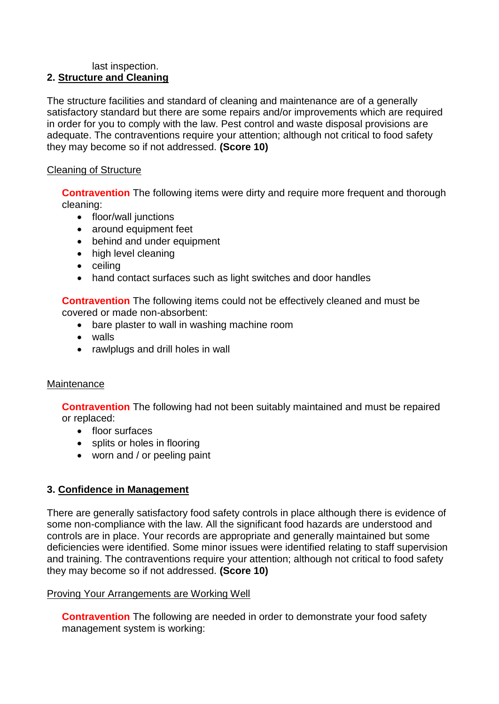#### last inspection. **2. Structure and Cleaning**

The structure facilities and standard of cleaning and maintenance are of a generally satisfactory standard but there are some repairs and/or improvements which are required in order for you to comply with the law. Pest control and waste disposal provisions are adequate. The contraventions require your attention: although not critical to food safety they may become so if not addressed. **(Score 10)**

### Cleaning of Structure

**Contravention** The following items were dirty and require more frequent and thorough cleaning:

- floor/wall junctions
- around equipment feet
- behind and under equipment
- high level cleaning
- ceiling
- hand contact surfaces such as light switches and door handles

**Contravention** The following items could not be effectively cleaned and must be covered or made non-absorbent:

- bare plaster to wall in washing machine room
- walls
- rawlplugs and drill holes in wall

#### **Maintenance**

**Contravention** The following had not been suitably maintained and must be repaired or replaced:

- floor surfaces
- splits or holes in flooring
- worn and / or peeling paint

#### **3. Confidence in Management**

There are generally satisfactory food safety controls in place although there is evidence of some non-compliance with the law. All the significant food hazards are understood and controls are in place. Your records are appropriate and generally maintained but some deficiencies were identified. Some minor issues were identified relating to staff supervision and training. The contraventions require your attention; although not critical to food safety they may become so if not addressed. **(Score 10)**

#### Proving Your Arrangements are Working Well

**Contravention** The following are needed in order to demonstrate your food safety management system is working: